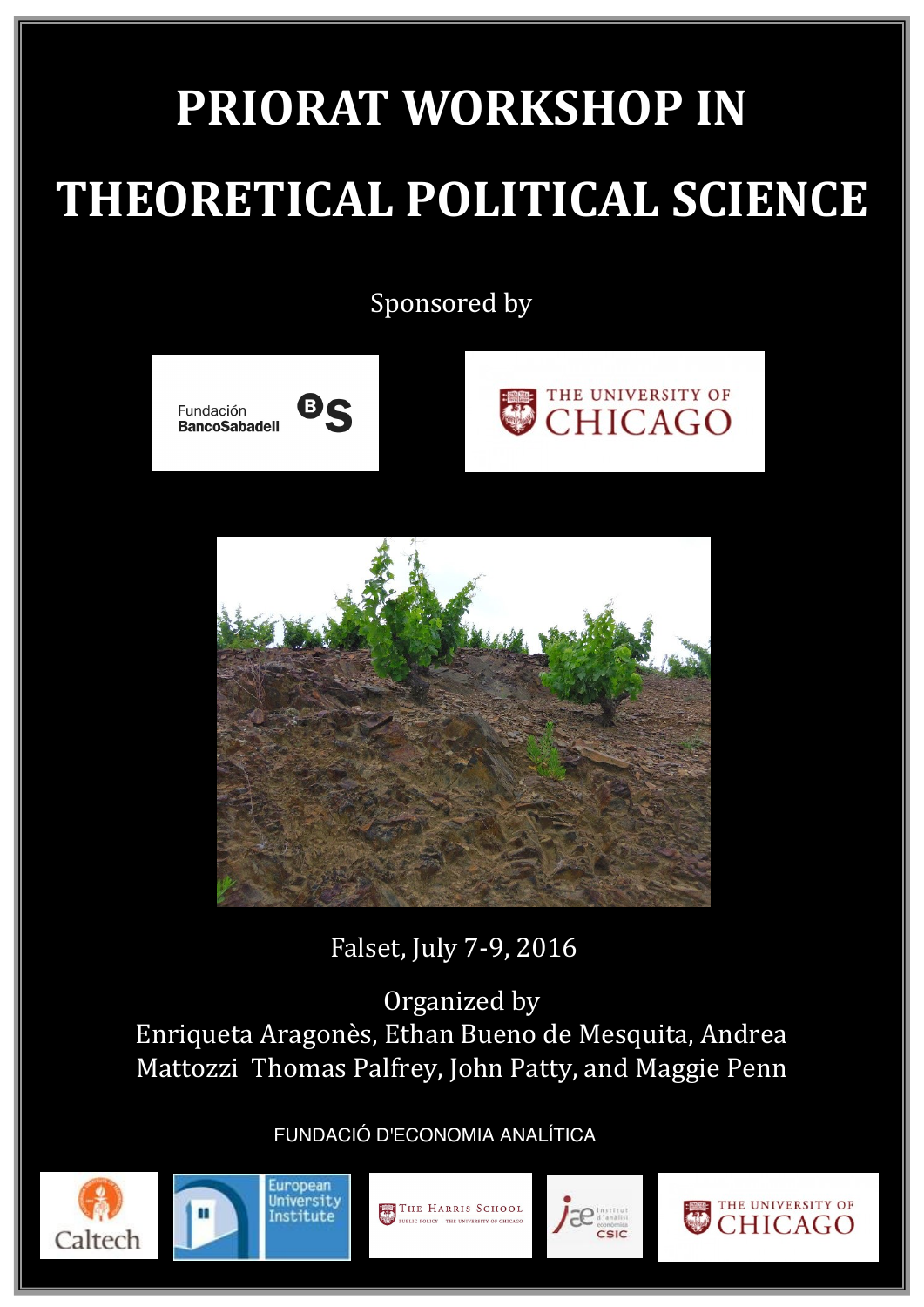# **PRIORAT WORKSHOP IN THEORETICAL POLITICAL SCIENCE**

Sponsored by







Falset, July 7-9, 2016

Organized by Enriqueta Aragonès, Ethan Bueno de Mesquita, Andrea Mattozzi Thomas Palfrey, John Patty, and Maggie Penn

FUNDACIÓ D'ECONOMIA ANALÍTICA









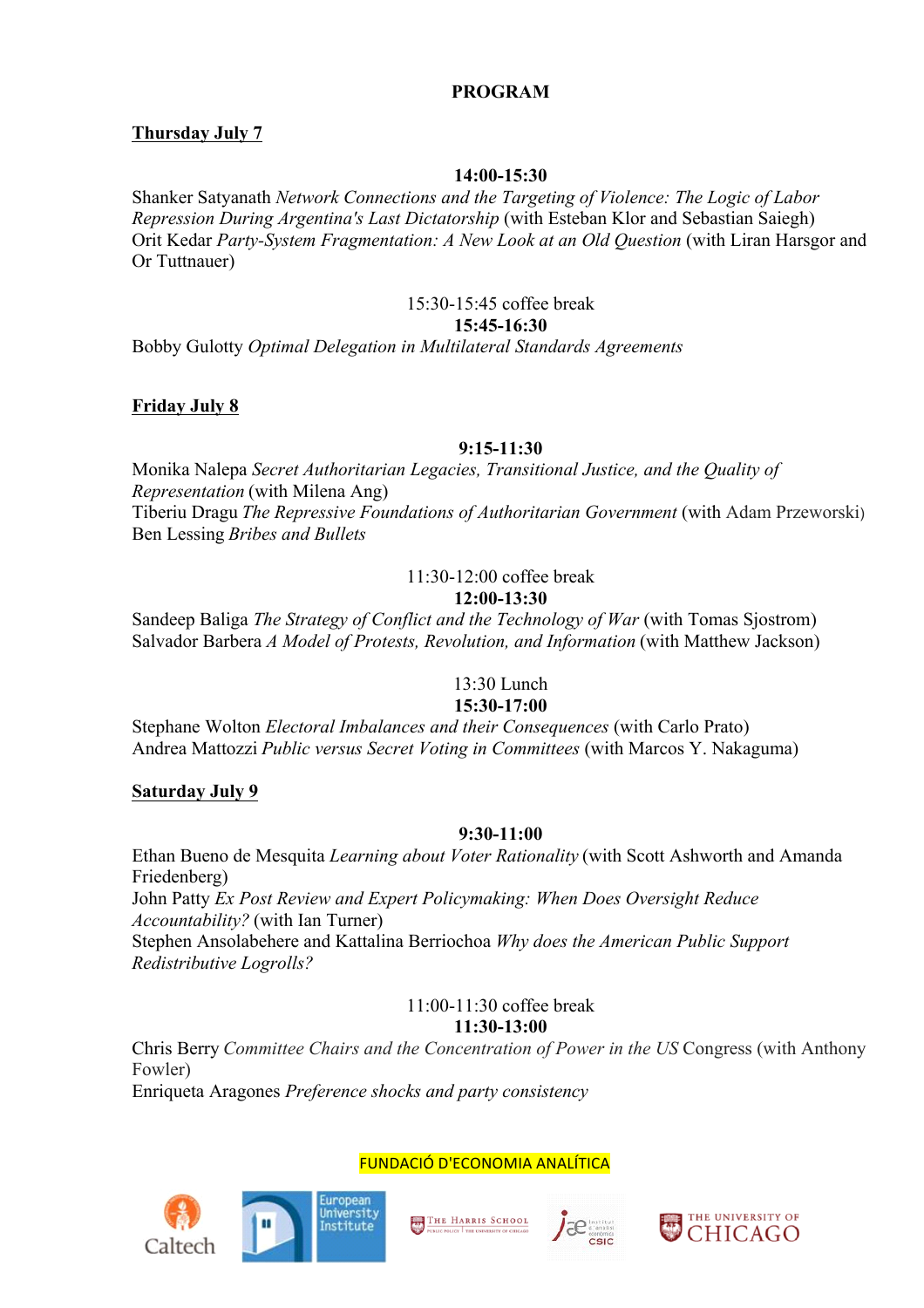# **PROGRAM**

# **Thursday July 7**

### **14:00-15:30**

Shanker Satyanath *Network Connections and the Targeting of Violence: The Logic of Labor Repression During Argentina's Last Dictatorship* (with Esteban Klor and Sebastian Saiegh) Orit Kedar *Party-System Fragmentation: A New Look at an Old Question* (with Liran Harsgor and Or Tuttnauer)

# 15:30-15:45 coffee break

# **15:45-16:30**

Bobby Gulotty *Optimal Delegation in Multilateral Standards Agreements*

### **Friday July 8**

### **9:15-11:30**

Monika Nalepa *Secret Authoritarian Legacies, Transitional Justice, and the Quality of Representation* (with Milena Ang) Tiberiu Dragu *The Repressive Foundations of Authoritarian Government* (with Adam Przeworski) Ben Lessing *Bribes and Bullets*

#### 11:30-12:00 coffee break **12:00-13:30**

Sandeep Baliga *The Strategy of Conflict and the Technology of War* (with Tomas Sjostrom) Salvador Barbera *A Model of Protests, Revolution, and Information* (with Matthew Jackson)

# 13:30 Lunch

# **15:30-17:00**

Stephane Wolton *Electoral Imbalances and their Consequences* (with Carlo Prato) Andrea Mattozzi *Public versus Secret Voting in Committees* (with Marcos Y. Nakaguma)

#### **Saturday July 9**

#### **9:30-11:00**

Ethan Bueno de Mesquita *Learning about Voter Rationality* (with Scott Ashworth and Amanda Friedenberg)

John Patty *Ex Post Review and Expert Policymaking: When Does Oversight Reduce Accountability?* (with Ian Turner)

Stephen Ansolabehere and Kattalina Berriochoa *Why does the American Public Support Redistributive Logrolls?*

> 11:00-11:30 coffee break **11:30-13:00**

Chris Berry *Committee Chairs and the Concentration of Power in the US* Congress (with Anthony Fowler)

Enriqueta Aragones *Preference shocks and party consistency*







FUNDACIÓ D'ECONOMIA ANALÍTICA